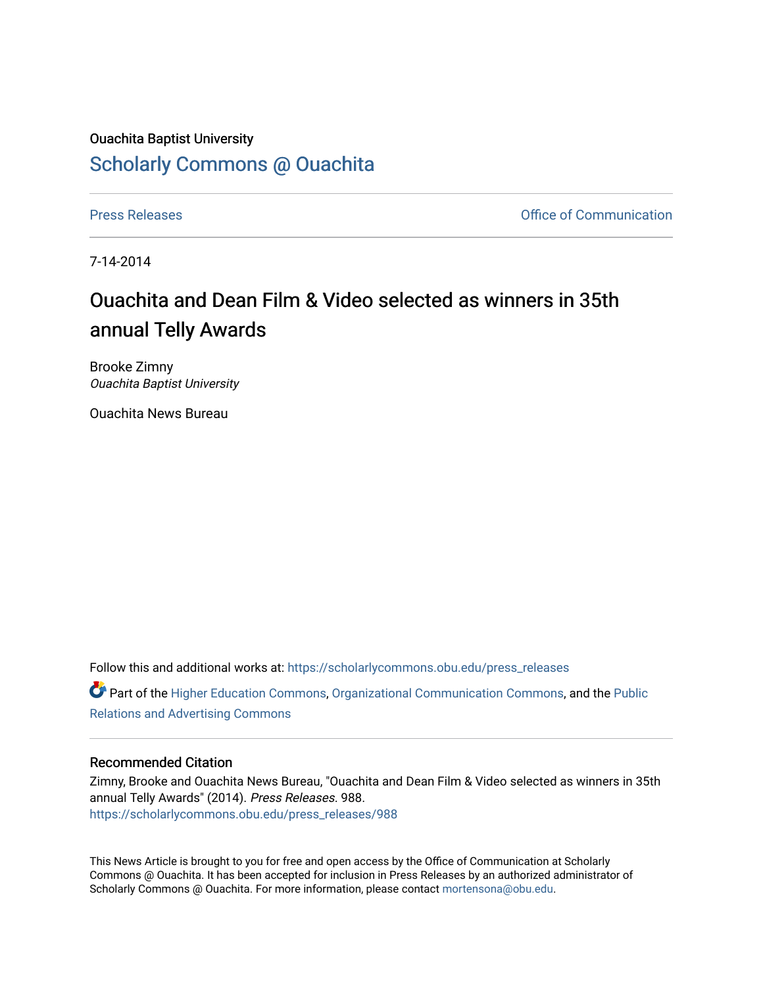## Ouachita Baptist University [Scholarly Commons @ Ouachita](https://scholarlycommons.obu.edu/)

[Press Releases](https://scholarlycommons.obu.edu/press_releases) **Press Releases Communication** 

7-14-2014

## Ouachita and Dean Film & Video selected as winners in 35th annual Telly Awards

Brooke Zimny Ouachita Baptist University

Ouachita News Bureau

Follow this and additional works at: [https://scholarlycommons.obu.edu/press\\_releases](https://scholarlycommons.obu.edu/press_releases?utm_source=scholarlycommons.obu.edu%2Fpress_releases%2F988&utm_medium=PDF&utm_campaign=PDFCoverPages)

Part of the [Higher Education Commons,](http://network.bepress.com/hgg/discipline/1245?utm_source=scholarlycommons.obu.edu%2Fpress_releases%2F988&utm_medium=PDF&utm_campaign=PDFCoverPages) [Organizational Communication Commons,](http://network.bepress.com/hgg/discipline/335?utm_source=scholarlycommons.obu.edu%2Fpress_releases%2F988&utm_medium=PDF&utm_campaign=PDFCoverPages) and the [Public](http://network.bepress.com/hgg/discipline/336?utm_source=scholarlycommons.obu.edu%2Fpress_releases%2F988&utm_medium=PDF&utm_campaign=PDFCoverPages) [Relations and Advertising Commons](http://network.bepress.com/hgg/discipline/336?utm_source=scholarlycommons.obu.edu%2Fpress_releases%2F988&utm_medium=PDF&utm_campaign=PDFCoverPages) 

## Recommended Citation

Zimny, Brooke and Ouachita News Bureau, "Ouachita and Dean Film & Video selected as winners in 35th annual Telly Awards" (2014). Press Releases. 988. [https://scholarlycommons.obu.edu/press\\_releases/988](https://scholarlycommons.obu.edu/press_releases/988?utm_source=scholarlycommons.obu.edu%2Fpress_releases%2F988&utm_medium=PDF&utm_campaign=PDFCoverPages)

This News Article is brought to you for free and open access by the Office of Communication at Scholarly Commons @ Ouachita. It has been accepted for inclusion in Press Releases by an authorized administrator of Scholarly Commons @ Ouachita. For more information, please contact [mortensona@obu.edu](mailto:mortensona@obu.edu).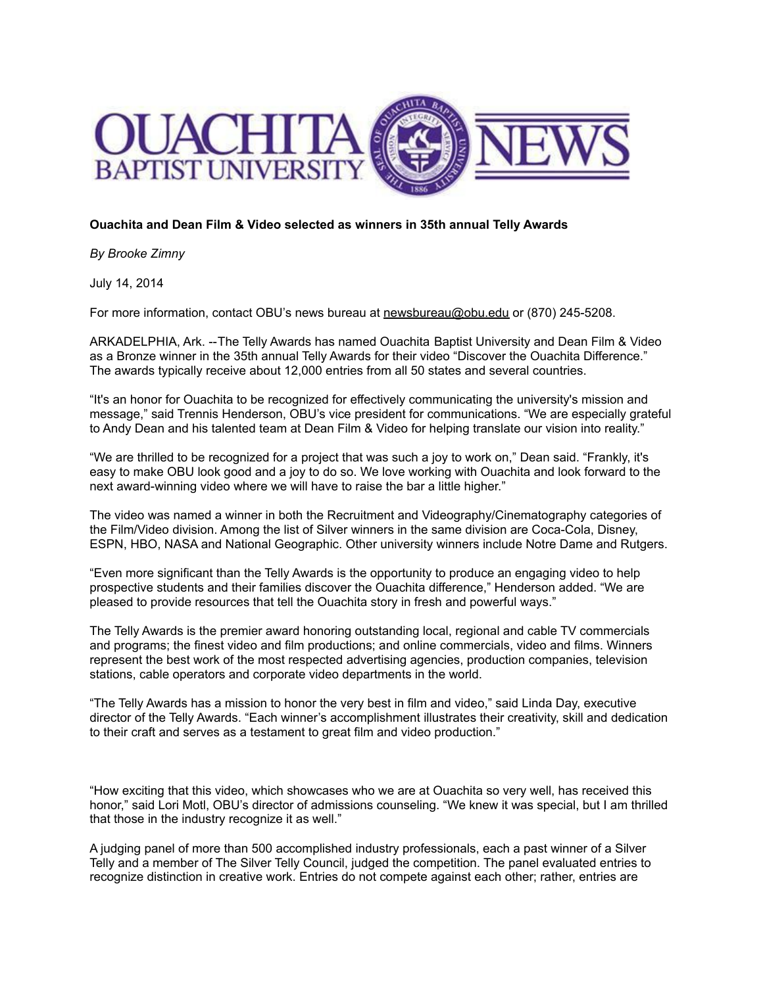

## **Ouachita and Dean Film & Video selected as winners in 35th annual Telly Awards**

*By Brooke Zimny*

July 14, 2014

For more information, contact OBU's news bureau at [newsbureau@obu.edu](mailto:newsbureau@obu.edu) or (870) 245-5208.

ARKADELPHIA, Ark. --The Telly Awards has named Ouachita Baptist University and Dean Film & Video as a Bronze winner in the 35th annual Telly Awards for their video "Discover the Ouachita Difference." The awards typically receive about 12,000 entries from all 50 states and several countries.

"It's an honor for Ouachita to be recognized for effectively communicating the university's mission and message," said Trennis Henderson, OBU's vice president for communications. "We are especially grateful to Andy Dean and his talented team at Dean Film & Video for helping translate our vision into reality."

"We are thrilled to be recognized for a project that was such a joy to work on," Dean said. "Frankly, it's easy to make OBU look good and a joy to do so. We love working with Ouachita and look forward to the next award-winning video where we will have to raise the bar a little higher."

The video was named a winner in both the Recruitment and Videography/Cinematography categories of the Film/Video division. Among the list of Silver winners in the same division are Coca-Cola, Disney, ESPN, HBO, NASA and National Geographic. Other university winners include Notre Dame and Rutgers.

"Even more significant than the Telly Awards is the opportunity to produce an engaging video to help prospective students and their families discover the Ouachita difference," Henderson added. "We are pleased to provide resources that tell the Ouachita story in fresh and powerful ways."

The Telly Awards is the premier award honoring outstanding local, regional and cable TV commercials and programs; the finest video and film productions; and online commercials, video and films. Winners represent the best work of the most respected advertising agencies, production companies, television stations, cable operators and corporate video departments in the world.

"The Telly Awards has a mission to honor the very best in film and video," said Linda Day, executive director of the Telly Awards. "Each winner's accomplishment illustrates their creativity, skill and dedication to their craft and serves as a testament to great film and video production."

"How exciting that this video, which showcases who we are at Ouachita so very well, has received this honor," said Lori Motl, OBU's director of admissions counseling. "We knew it was special, but I am thrilled that those in the industry recognize it as well."

A judging panel of more than 500 accomplished industry professionals, each a past winner of a Silver Telly and a member of The Silver Telly Council, judged the competition. The panel evaluated entries to recognize distinction in creative work. Entries do not compete against each other; rather, entries are